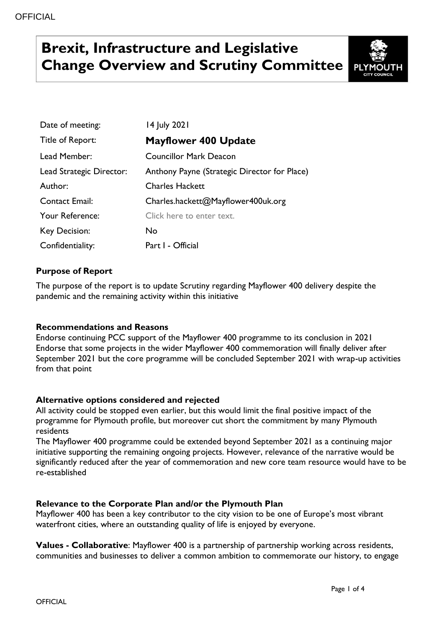# **Brexit, Infrastructure and Legislative Change Overview and Scrutiny Committee**



| Date of meeting:         | 14 July 2021                                 |
|--------------------------|----------------------------------------------|
| Title of Report:         | <b>Mayflower 400 Update</b>                  |
| Lead Member:             | <b>Councillor Mark Deacon</b>                |
| Lead Strategic Director: | Anthony Payne (Strategic Director for Place) |
| Author:                  | <b>Charles Hackett</b>                       |
| <b>Contact Email:</b>    | Charles.hackett@Mayflower400uk.org           |
| Your Reference:          | Click here to enter text.                    |
| <b>Key Decision:</b>     | No.                                          |
| Confidentiality:         | Part I - Official                            |

## **Purpose of Report**

The purpose of the report is to update Scrutiny regarding Mayflower 400 delivery despite the pandemic and the remaining activity within this initiative

#### **Recommendations and Reasons**

Endorse continuing PCC support of the Mayflower 400 programme to its conclusion in 2021 Endorse that some projects in the wider Mayflower 400 commemoration will finally deliver after September 2021 but the core programme will be concluded September 2021 with wrap-up activities from that point

#### **Alternative options considered and rejected**

All activity could be stopped even earlier, but this would limit the final positive impact of the programme for Plymouth profile, but moreover cut short the commitment by many Plymouth residents

The Mayflower 400 programme could be extended beyond September 2021 as a continuing major initiative supporting the remaining ongoing projects. However, relevance of the narrative would be significantly reduced after the year of commemoration and new core team resource would have to be re-established

#### **Relevance to the Corporate Plan and/or the Plymouth Plan**

Mayflower 400 has been a key contributor to the city vision to be one of Europe's most vibrant waterfront cities, where an outstanding quality of life is enjoyed by everyone.

**Values - Collaborative**: Mayflower 400 is a partnership of partnership working across residents, communities and businesses to deliver a common ambition to commemorate our history, to engage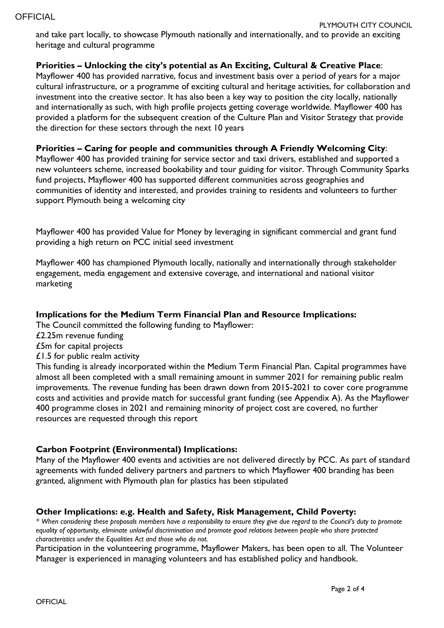and take part locally, to showcase Plymouth nationally and internationally, and to provide an exciting heritage and cultural programme

### **Priorities – Unlocking the city's potential as An Exciting, Cultural & Creative Place**:

Mayflower 400 has provided narrative, focus and investment basis over a period of years for a major cultural infrastructure, or a programme of exciting cultural and heritage activities, for collaboration and investment into the creative sector. It has also been a key way to position the city locally, nationally and internationally as such, with high profile projects getting coverage worldwide. Mayflower 400 has provided a platform for the subsequent creation of the Culture Plan and Visitor Strategy that provide the direction for these sectors through the next 10 years

### **Priorities – Caring for people and communities through A Friendly Welcoming City**:

Mayflower 400 has provided training for service sector and taxi drivers, established and supported a new volunteers scheme, increased bookability and tour guiding for visitor. Through Community Sparks fund projects, Mayflower 400 has supported different communities across geographies and communities of identity and interested, and provides training to residents and volunteers to further support Plymouth being a welcoming city

Mayflower 400 has provided Value for Money by leveraging in significant commercial and grant fund providing a high return on PCC initial seed investment

Mayflower 400 has championed Plymouth locally, nationally and internationally through stakeholder engagement, media engagement and extensive coverage, and international and national visitor marketing

#### **Implications for the Medium Term Financial Plan and Resource Implications:**

The Council committed the following funding to Mayflower:

- £2.25m revenue funding
- £5m for capital projects
- £1.5 for public realm activity

This funding is already incorporated within the Medium Term Financial Plan. Capital programmes have almost all been completed with a small remaining amount in summer 2021 for remaining public realm improvements. The revenue funding has been drawn down from 2015-2021 to cover core programme costs and activities and provide match for successful grant funding (see Appendix A). As the Mayflower 400 programme closes in 2021 and remaining minority of project cost are covered, no further resources are requested through this report

#### **Carbon Footprint (Environmental) Implications:**

Many of the Mayflower 400 events and activities are not delivered directly by PCC. As part of standard agreements with funded delivery partners and partners to which Mayflower 400 branding has been granted, alignment with Plymouth plan for plastics has been stipulated

#### **Other Implications: e.g. Health and Safety, Risk Management, Child Poverty:**

*\* When considering these proposals members have a responsibility to ensure they give due regard to the Council's duty to promote equality of opportunity, eliminate unlawful discrimination and promote good relations between people who share protected characteristics under the Equalities Act and those who do not.*

Participation in the volunteering programme, Mayflower Makers, has been open to all. The Volunteer Manager is experienced in managing volunteers and has established policy and handbook.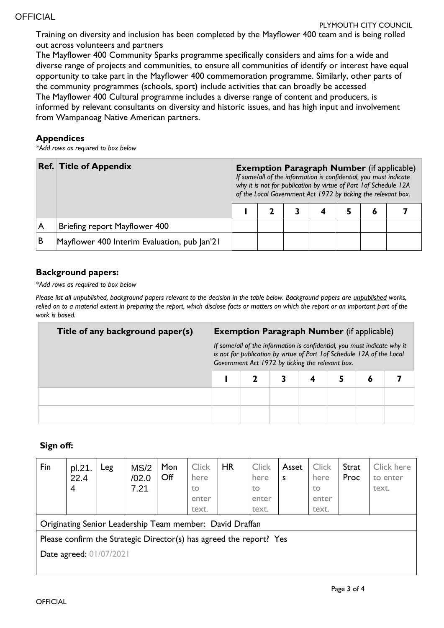Training on diversity and inclusion has been completed by the Mayflower 400 team and is being rolled out across volunteers and partners

The Mayflower 400 Community Sparks programme specifically considers and aims for a wide and diverse range of projects and communities, to ensure all communities of identify or interest have equal opportunity to take part in the Mayflower 400 commemoration programme. Similarly, other parts of the community programmes (schools, sport) include activities that can broadly be accessed The Mayflower 400 Cultural programme includes a diverse range of content and producers, is informed by relevant consultants on diversity and historic issues, and has high input and involvement from Wampanoag Native American partners.

### **Appendices**

*\*Add rows as required to box below*

|   | <b>Ref. Title of Appendix</b>                | <b>Exemption Paragraph Number</b> (if applicable)<br>If some/all of the information is confidential, you must indicate<br>why it is not for publication by virtue of Part 1 of Schedule 12A<br>of the Local Government Act 1972 by ticking the relevant box. |  |  |  |  |   |  |  |  |
|---|----------------------------------------------|--------------------------------------------------------------------------------------------------------------------------------------------------------------------------------------------------------------------------------------------------------------|--|--|--|--|---|--|--|--|
|   |                                              |                                                                                                                                                                                                                                                              |  |  |  |  | Õ |  |  |  |
| A | Briefing report Mayflower 400                |                                                                                                                                                                                                                                                              |  |  |  |  |   |  |  |  |
| B | Mayflower 400 Interim Evaluation, pub Jan'21 |                                                                                                                                                                                                                                                              |  |  |  |  |   |  |  |  |

## **Background papers:**

*\*Add rows as required to box below*

*Please list all unpublished, background papers relevant to the decision in the table below. Background papers are unpublished works, relied on to a material extent in preparing the report, which disclose facts or matters on which the report or an important part of the work is based.*

| Title of any background paper(s) | <b>Exemption Paragraph Number</b> (if applicable)                                                                                                                                                       |  |  |  |  |  |  |  |  |  |
|----------------------------------|---------------------------------------------------------------------------------------------------------------------------------------------------------------------------------------------------------|--|--|--|--|--|--|--|--|--|
|                                  | If some/all of the information is confidential, you must indicate why it<br>is not for publication by virtue of Part 1 of Schedule 12A of the Local<br>Government Act 1972 by ticking the relevant box. |  |  |  |  |  |  |  |  |  |
|                                  |                                                                                                                                                                                                         |  |  |  |  |  |  |  |  |  |
|                                  |                                                                                                                                                                                                         |  |  |  |  |  |  |  |  |  |
|                                  |                                                                                                                                                                                                         |  |  |  |  |  |  |  |  |  |

## **Sign off:**

| Fin                                                                 | pl.21.<br>22.4<br>4 | Leg | MS/2<br>/02.0<br>7.21 | Mon<br>Off | <b>Click</b><br>here<br>to<br>enter<br>text. | <b>HR</b> | <b>Click</b><br>here<br>to<br>enter<br>text. | Asset<br>S | <b>Click</b><br>here<br>to<br>enter<br>text. | Strat<br>Proc | Click here<br>to enter<br>text. |
|---------------------------------------------------------------------|---------------------|-----|-----------------------|------------|----------------------------------------------|-----------|----------------------------------------------|------------|----------------------------------------------|---------------|---------------------------------|
| Originating Senior Leadership Team member: David Draffan            |                     |     |                       |            |                                              |           |                                              |            |                                              |               |                                 |
| Please confirm the Strategic Director(s) has agreed the report? Yes |                     |     |                       |            |                                              |           |                                              |            |                                              |               |                                 |
| Date agreed: 01/07/2021                                             |                     |     |                       |            |                                              |           |                                              |            |                                              |               |                                 |